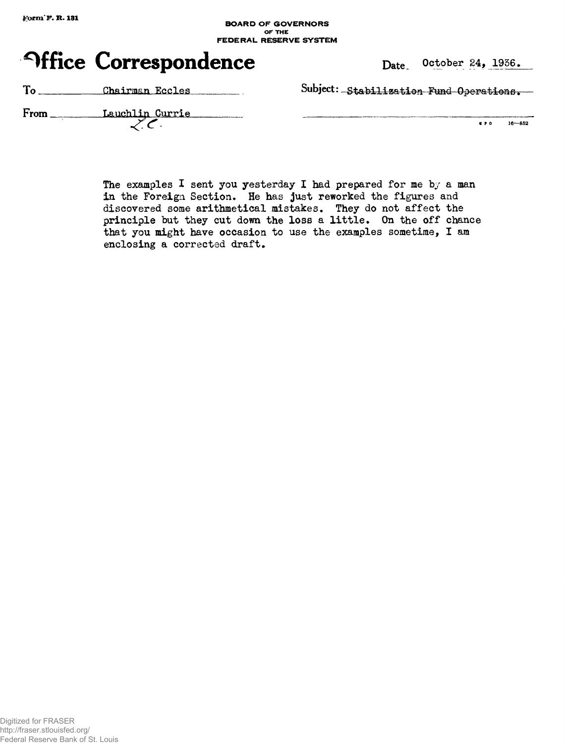## **BOARD OF GOVERNORS OF THE FEDERAL RESERVE SYSTEM**



| To<br>Chairman Eccles |  |
|-----------------------|--|
|-----------------------|--|

Subject: Stabilization Fund Operations.

| From | Lauchlin Currie |
|------|-----------------|
|      |                 |

| 6 P O |  | $16 - 852$ |
|-------|--|------------|
|       |  |            |

The examples I sent you yesterday I had prepared for me by a man in the Foreign Section. He has just reworked the figures and discovered some arithmetical mistakes. They do not affect the principle but they cut down the loss a little. On the off chance that you might have occasion to use the examples sometime, I am enclosing a corrected draft.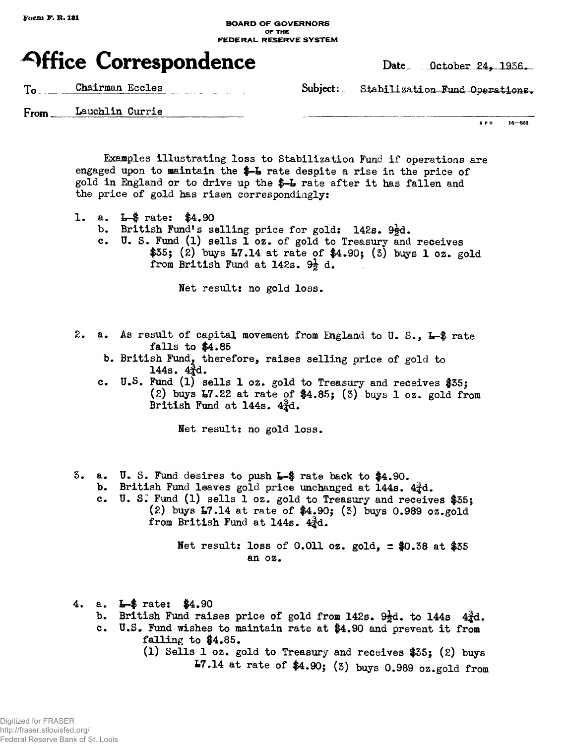## **BOARD OF GOVERNORS OF THE FEDERAL RESERVE SYSTEM**



To Chairman Eccles Subject: Stabilization Fund Operations.

From Lauchlin Currie

**6 P 0 16—852**

Examples illustrating loss to Stabilization Fund if operations are engaged upon to maintain the  $-$ -L rate despite a rise in the price of gold in England or to drive up the \$-L rate after it has fallen and the price of gold has risen correspondingly:

- 1. a. L-\$ rate: \$4.90
	- b. British Fund's selling price for gold:  $142s. 9\frac{1}{2}d.$
	- c. U. S. Fund (1) sells 1 oz. of gold to Treasury and receives  $$35;$  (2) buys  $17.14$  at rate of  $$4.90;$  (3) buys 1 oz. gold from British Fund at 142s.  $9\frac{1}{5}$  d.

Net result: no gold loss.

- 2. a. As result of capital movement from England to U. S., L-\$ rate falls to \$4.85
	- b. British Fund, therefore, raises selling orice of gold to  $144s. 4<sub>2</sub><sup>3</sup>d.$
	- c. U.S. Fund (1) sells 1 oz. gold to Treasury and receives  $$35;$ (2) buys  $E7.22$  at rate of  $4.85$ ; (3) buys 1 oz. gold from British Fund at 144s.  $4\frac{3}{4}d$ .

Net result: no gold loss.

- 3. a. U. S. Fund desires to push L-\$ rate back to \$4.90.
	- b. British Fund leaves gold price unchanged at  $144s. 4\frac{3}{4}d.$
	- c. U. S.<sup>1</sup> Fund (l) sells 1 oz. gold to Treasury and receives \$35; (2) buys L7.14 at rate of \$4.90; (3) buys 0.989 oz.gold from British Fund at 144s.  $4\frac{3}{4}d$ .

Net result: loss of 0.011 oz. gold,  $\pm$  \$0.38 at \$35 an oz.

- 4. a. L~\$ rate: \$4.90
	- b. British Fund raises price of gold from 142s.  $9\frac{1}{2}d$ . to 144s  $4\frac{3}{4}d$ .
	- c. U.S. Fund wishes to maintain rate at \$4.90 and prevent it from falling to \$4.85.
		- (1) Sells 1 oz. gold to Treasury and receives \$35; (2) buys 17.14 at rate of \$4.90; (3) buys 0.989 oz.gold from